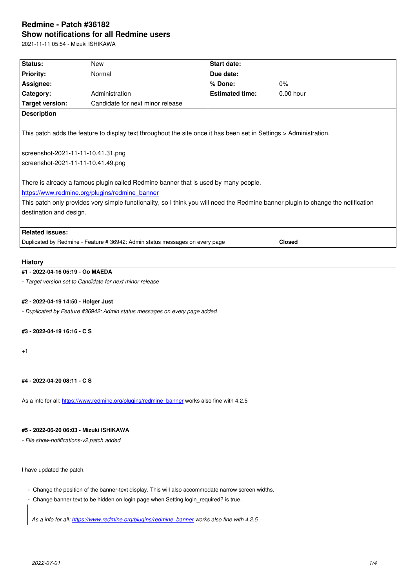#### **Show notifications for all Redmine users**

2021-11-11 05:54 - Mizuki ISHIKAWA

| Status:                                                                                                                                                                                                                                                                                               | <b>New</b>                       | <b>Start date:</b>     |             |  |  |  |
|-------------------------------------------------------------------------------------------------------------------------------------------------------------------------------------------------------------------------------------------------------------------------------------------------------|----------------------------------|------------------------|-------------|--|--|--|
| <b>Priority:</b>                                                                                                                                                                                                                                                                                      | Normal                           | Due date:              |             |  |  |  |
| Assignee:                                                                                                                                                                                                                                                                                             |                                  | % Done:                | 0%          |  |  |  |
| Category:                                                                                                                                                                                                                                                                                             | Administration                   | <b>Estimated time:</b> | $0.00$ hour |  |  |  |
| <b>Target version:</b>                                                                                                                                                                                                                                                                                | Candidate for next minor release |                        |             |  |  |  |
| <b>Description</b>                                                                                                                                                                                                                                                                                    |                                  |                        |             |  |  |  |
| This patch adds the feature to display text throughout the site once it has been set in Settings > Administration.                                                                                                                                                                                    |                                  |                        |             |  |  |  |
| screenshot-2021-11-11-10.41.31.png                                                                                                                                                                                                                                                                    |                                  |                        |             |  |  |  |
| screenshot-2021-11-11-10.41.49.png                                                                                                                                                                                                                                                                    |                                  |                        |             |  |  |  |
| There is already a famous plugin called Redmine banner that is used by many people.<br>https://www.redmine.org/plugins/redmine banner<br>This patch only provides very simple functionality, so I think you will need the Redmine banner plugin to change the notification<br>destination and design. |                                  |                        |             |  |  |  |
| <b>Related issues:</b>                                                                                                                                                                                                                                                                                |                                  |                        |             |  |  |  |
| <b>Closed</b><br>Duplicated by Redmine - Feature # 36942: Admin status messages on every page                                                                                                                                                                                                         |                                  |                        |             |  |  |  |
| <b>History</b>                                                                                                                                                                                                                                                                                        |                                  |                        |             |  |  |  |
| #1 - 2022-04-16 05:19 - Go MAEDA                                                                                                                                                                                                                                                                      |                                  |                        |             |  |  |  |
| - Target version set to Candidate for next minor release                                                                                                                                                                                                                                              |                                  |                        |             |  |  |  |
|                                                                                                                                                                                                                                                                                                       |                                  |                        |             |  |  |  |

**#2 - 2022-04-19 14:50 - Holger Just**

*- Duplicated by Feature #36942: Admin status messages on every page added*

# **#3 - 2022-04-19 16:16 - C S**

+1

# **#4 - 2022-04-20 08:11 - C S**

As a info for all: https://www.redmine.org/plugins/redmine\_banner works also fine with 4.2.5

## **#5 - 2022-06-20 [06:03 - Mizuki ISHIKAWA](https://www.redmine.org/plugins/redmine_banner)**

*- File show-notifications-v2.patch added*

I have updated the patch.

- Change the position of the banner-text display. This will also accommodate narrow screen widths.
- Change banner text to be hidden on login page when Setting.login\_required? is true.

*As a info for all: https://www.redmine.org/plugins/redmine\_banner works also fine with 4.2.5*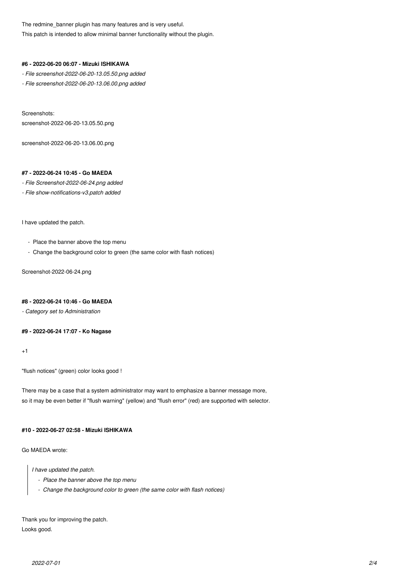The redmine\_banner plugin has many features and is very useful. This patch is intended to allow minimal banner functionality without the plugin.

#### **#6 - 2022-06-20 06:07 - Mizuki ISHIKAWA**

*- File screenshot-2022-06-20-13.05.50.png added*

*- File screenshot-2022-06-20-13.06.00.png added*

Screenshots: screenshot-2022-06-20-13.05.50.png

screenshot-2022-06-20-13.06.00.png

# **#7 - 2022-06-24 10:45 - Go MAEDA**

*- File Screenshot-2022-06-24.png added*

*- File show-notifications-v3.patch added*

I have updated the patch.

- Place the banner above the top menu
- Change the background color to green (the same color with flash notices)

Screenshot-2022-06-24.png

## **#8 - 2022-06-24 10:46 - Go MAEDA**

*- Category set to Administration*

## **#9 - 2022-06-24 17:07 - Ko Nagase**

 $+1$ 

"flush notices" (green) color looks good !

There may be a case that a system administrator may want to emphasize a banner message more, so it may be even better if "flush warning" (yellow) and "flush error" (red) are supported with selector.

# **#10 - 2022-06-27 02:58 - Mizuki ISHIKAWA**

Go MAEDA wrote:

*I have updated the patch.*

- *Place the banner above the top menu*
- *Change the background color to green (the same color with flash notices)*

Thank you for improving the patch. Looks good.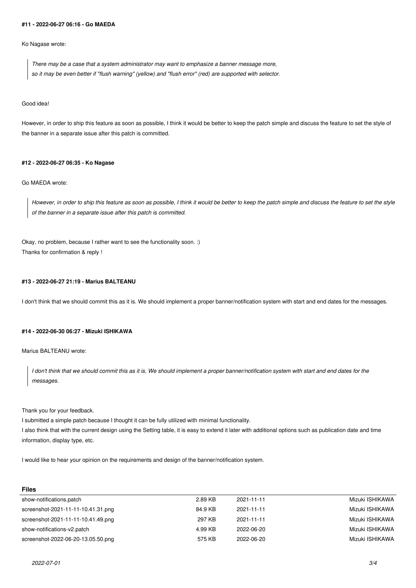#### **#11 - 2022-06-27 06:16 - Go MAEDA**

Ko Nagase wrote:

*There may be a case that a system administrator may want to emphasize a banner message more, so it may be even better if "flush warning" (yellow) and "flush error" (red) are supported with selector.*

Good idea!

However, in order to ship this feature as soon as possible, I think it would be better to keep the patch simple and discuss the feature to set the style of the banner in a separate issue after this patch is committed.

#### **#12 - 2022-06-27 06:35 - Ko Nagase**

## Go MAEDA wrote:

*However, in order to ship this feature as soon as possible, I think it would be better to keep the patch simple and discuss the feature to set the style of the banner in a separate issue after this patch is committed.*

Okay, no problem, because I rather want to see the functionality soon. :) Thanks for confirmation & reply !

## **#13 - 2022-06-27 21:19 - Marius BALTEANU**

I don't think that we should commit this as it is. We should implement a proper banner/notification system with start and end dates for the messages.

## **#14 - 2022-06-30 06:27 - Mizuki ISHIKAWA**

Marius BALTEANU wrote:

*I don't think that we should commit this as it is. We should implement a proper banner/notification system with start and end dates for the messages.*

Thank you for your feedback.

I submitted a simple patch because I thought it can be fully utilized with minimal functionality. I also think that with the current design using the Setting table, it is easy to extend it later with additional options such as publication date and time information, display type, etc.

I would like to hear your opinion on the requirements and design of the banner/notification system.

|  | w<br>- | ۰.<br>× |
|--|--------|---------|
|  |        |         |

| 2.89 KB | 2021-11-11 | Mizuki ISHIKAWA |
|---------|------------|-----------------|
| 84.9 KB | 2021-11-11 | Mizuki ISHIKAWA |
| 297 KB  | 2021-11-11 | Mizuki ISHIKAWA |
| 4.99 KB | 2022-06-20 | Mizuki ISHIKAWA |
| 575 KB  | 2022-06-20 | Mizuki ISHIKAWA |
|         |            |                 |